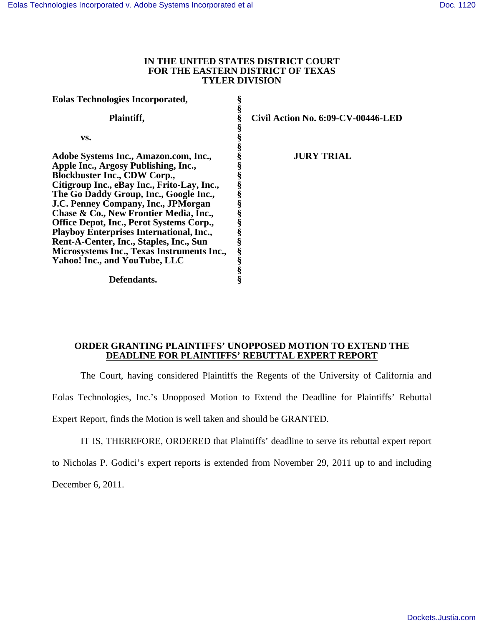## **IN THE UNITED STATES DISTRICT COURT FOR THE EASTERN DISTRICT OF TEXAS TYLER DIVISION**

| <b>Eolas Technologies Incorporated,</b>         |   |                                    |
|-------------------------------------------------|---|------------------------------------|
| Plaintiff,                                      | ş | Civil Action No. 6:09-CV-00446-LED |
| VS.                                             |   |                                    |
| Adobe Systems Inc., Amazon.com, Inc.,           |   | <b>JURY TRIAL</b>                  |
| Apple Inc., Argosy Publishing, Inc.,            |   |                                    |
| <b>Blockbuster Inc., CDW Corp.,</b>             |   |                                    |
| Citigroup Inc., eBay Inc., Frito-Lay, Inc.,     |   |                                    |
| The Go Daddy Group, Inc., Google Inc.,          |   |                                    |
| J.C. Penney Company, Inc., JPMorgan             |   |                                    |
| Chase & Co., New Frontier Media, Inc.,          |   |                                    |
| Office Depot, Inc., Perot Systems Corp.,        |   |                                    |
| <b>Playboy Enterprises International, Inc.,</b> |   |                                    |
| Rent-A-Center, Inc., Staples, Inc., Sun         |   |                                    |
| Microsystems Inc., Texas Instruments Inc.,      | § |                                    |
| Yahoo! Inc., and YouTube, LLC                   |   |                                    |
|                                                 |   |                                    |
| Defendants.                                     |   |                                    |

## **ORDER GRANTING PLAINTIFFS' UNOPPOSED MOTION TO EXTEND THE DEADLINE FOR PLAINTIFFS' REBUTTAL EXPERT REPORT**

The Court, having considered Plaintiffs the Regents of the University of California and

Eolas Technologies, Inc.'s Unopposed Motion to Extend the Deadline for Plaintiffs' Rebuttal

Expert Report, finds the Motion is well taken and should be GRANTED.

IT IS, THEREFORE, ORDERED that Plaintiffs' deadline to serve its rebuttal expert report

to Nicholas P. Godici's expert reports is extended from November 29, 2011 up to and including

December 6, 2011.